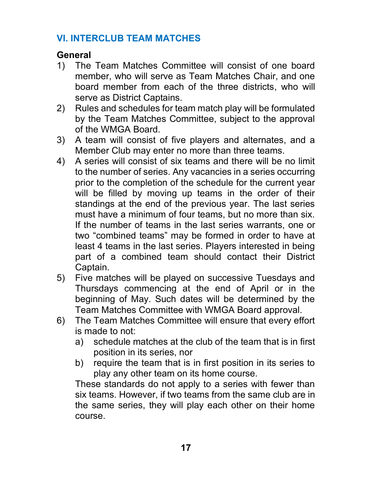## **VI. INTERCLUB TEAM MATCHES**

### **General**

- 1) The Team Matches Committee will consist of one board member, who will serve as Team Matches Chair, and one board member from each of the three districts, who will serve as District Captains.
- 2) Rules and schedules for team match play will be formulated by the Team Matches Committee, subject to the approval of the WMGA Board.
- 3) A team will consist of five players and alternates, and a Member Club may enter no more than three teams.
- 4) A series will consist of six teams and there will be no limit to the number of series. Any vacancies in a series occurring prior to the completion of the schedule for the current year will be filled by moving up teams in the order of their standings at the end of the previous year. The last series must have a minimum of four teams, but no more than six. If the number of teams in the last series warrants, one or two "combined teams" may be formed in order to have at least 4 teams in the last series. Players interested in being part of a combined team should contact their District Captain.
- 5) Five matches will be played on successive Tuesdays and Thursdays commencing at the end of April or in the beginning of May. Such dates will be determined by the Team Matches Committee with WMGA Board approval.
- 6) The Team Matches Committee will ensure that every effort is made to not:
	- a) schedule matches at the club of the team that is in first position in its series, nor
	- b) require the team that is in first position in its series to play any other team on its home course.

These standards do not apply to a series with fewer than six teams. However, if two teams from the same club are in the same series, they will play each other on their home course.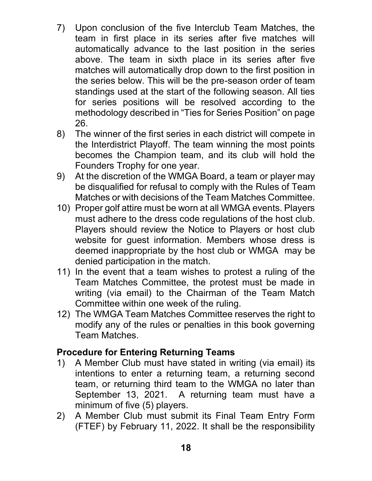- 7) Upon conclusion of the five Interclub Team Matches, the team in first place in its series after five matches will automatically advance to the last position in the series above. The team in sixth place in its series after five matches will automatically drop down to the first position in the series below. This will be the pre-season order of team standings used at the start of the following season. All ties for series positions will be resolved according to the methodology described in "Ties for Series Position" on page 26.
- 8) The winner of the first series in each district will compete in the Interdistrict Playoff. The team winning the most points becomes the Champion team, and its club will hold the Founders Trophy for one year.
- 9) At the discretion of the WMGA Board, a team or player may be disqualified for refusal to comply with the Rules of Team Matches or with decisions of the Team Matches Committee.
- 10) Proper golf attire must be worn at all WMGA events. Players must adhere to the dress code regulations of the host club. Players should review the Notice to Players or host club website for guest information. Members whose dress is deemed inappropriate by the host club or WMGA may be denied participation in the match.
- 11) In the event that a team wishes to protest a ruling of the Team Matches Committee, the protest must be made in writing (via email) to the Chairman of the Team Match Committee within one week of the ruling.
- 12) The WMGA Team Matches Committee reserves the right to modify any of the rules or penalties in this book governing Team Matches.

#### **Procedure for Entering Returning Teams**

- 1) A Member Club must have stated in writing (via email) its intentions to enter a returning team, a returning second team, or returning third team to the WMGA no later than September 13, 2021. A returning team must have a minimum of five (5) players.
- 2) A Member Club must submit its Final Team Entry Form (FTEF) by February 11, 2022. It shall be the responsibility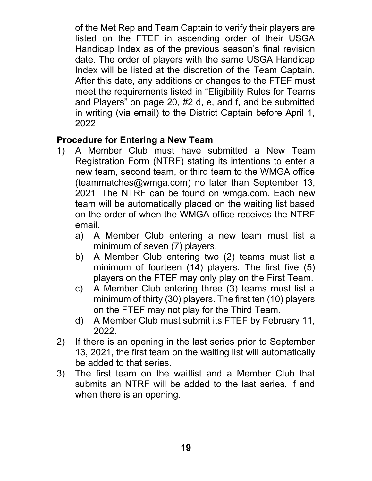of the Met Rep and Team Captain to verify their players are listed on the FTEF in ascending order of their USGA Handicap Index as of the previous season's final revision date. The order of players with the same USGA Handicap Index will be listed at the discretion of the Team Captain. After this date, any additions or changes to the FTEF must meet the requirements listed in "Eligibility Rules for Teams and Players" on page 20, #2 d, e, and f, and be submitted in writing (via email) to the District Captain before April 1, 2022.

#### **Procedure for Entering a New Team**

- 1) A Member Club must have submitted a New Team Registration Form (NTRF) stating its intentions to enter a new team, second team, or third team to the WMGA office (teammatches@wmga.com) no later than September 13, 2021. The NTRF can be found on wmga.com. Each new team will be automatically placed on the waiting list based on the order of when the WMGA office receives the NTRF email.
	- a) A Member Club entering a new team must list a minimum of seven (7) players.
	- b) A Member Club entering two (2) teams must list a minimum of fourteen (14) players. The first five (5) players on the FTEF may only play on the First Team.
	- c) A Member Club entering three (3) teams must list a minimum of thirty (30) players. The first ten (10) players on the FTEF may not play for the Third Team.
	- d) A Member Club must submit its FTEF by February 11, 2022.
- 2) If there is an opening in the last series prior to September 13, 2021, the first team on the waiting list will automatically be added to that series.
- 3) The first team on the waitlist and a Member Club that submits an NTRF will be added to the last series, if and when there is an opening.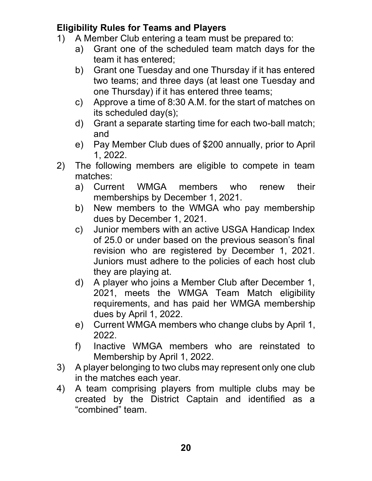## **Eligibility Rules for Teams and Players**

- 1) A Member Club entering a team must be prepared to:
	- a) Grant one of the scheduled team match days for the team it has entered;
	- b) Grant one Tuesday and one Thursday if it has entered two teams; and three days (at least one Tuesday and one Thursday) if it has entered three teams;
	- c) Approve a time of 8:30 A.M. for the start of matches on its scheduled day(s);
	- d) Grant a separate starting time for each two-ball match; and
	- e) Pay Member Club dues of \$200 annually, prior to April 1, 2022.
- 2) The following members are eligible to compete in team matches:
	- a) Current WMGA members who renew their memberships by December 1, 2021.
	- b) New members to the WMGA who pay membership dues by December 1, 2021.
	- c) Junior members with an active USGA Handicap Index of 25.0 or under based on the previous season's final revision who are registered by December 1, 2021. Juniors must adhere to the policies of each host club they are playing at.
	- d) A player who joins a Member Club after December 1, 2021, meets the WMGA Team Match eligibility requirements, and has paid her WMGA membership dues by April 1, 2022.
	- e) Current WMGA members who change clubs by April 1, 2022.
	- f) Inactive WMGA members who are reinstated to Membership by April 1, 2022.
- 3) A player belonging to two clubs may represent only one club in the matches each year.
- 4) A team comprising players from multiple clubs may be created by the District Captain and identified as a "combined" team.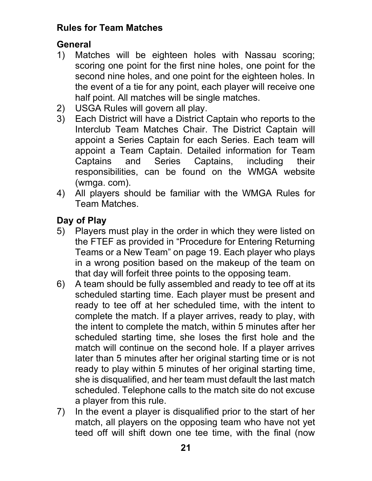## **Rules for Team Matches**

# **General**

- 1) Matches will be eighteen holes with Nassau scoring; scoring one point for the first nine holes, one point for the second nine holes, and one point for the eighteen holes. In the event of a tie for any point, each player will receive one half point. All matches will be single matches.
- 2) USGA Rules will govern all play.
- 3) Each District will have a District Captain who reports to the Interclub Team Matches Chair. The District Captain will appoint a Series Captain for each Series. Each team will appoint a Team Captain. Detailed information for Team Captains and Series Captains, including their responsibilities, can be found on the WMGA website (wmga. com).
- 4) All players should be familiar with the WMGA Rules for Team Matches.

# **Day of Play**

- 5) Players must play in the order in which they were listed on the FTEF as provided in "Procedure for Entering Returning Teams or a New Team" on page 19. Each player who plays in a wrong position based on the makeup of the team on that day will forfeit three points to the opposing team.
- 6) A team should be fully assembled and ready to tee off at its scheduled starting time. Each player must be present and ready to tee off at her scheduled time, with the intent to complete the match. If a player arrives, ready to play, with the intent to complete the match, within 5 minutes after her scheduled starting time, she loses the first hole and the match will continue on the second hole. If a player arrives later than 5 minutes after her original starting time or is not ready to play within 5 minutes of her original starting time, she is disqualified, and her team must default the last match scheduled. Telephone calls to the match site do not excuse a player from this rule.
- 7) In the event a player is disqualified prior to the start of her match, all players on the opposing team who have not yet teed off will shift down one tee time, with the final (now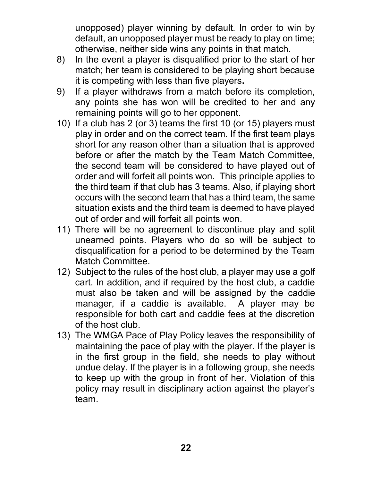unopposed) player winning by default. In order to win by default, an unopposed player must be ready to play on time; otherwise, neither side wins any points in that match.

- 8) In the event a player is disqualified prior to the start of her match; her team is considered to be playing short because it is competing with less than five players**.**
- 9) If a player withdraws from a match before its completion, any points she has won will be credited to her and any remaining points will go to her opponent.
- 10) If a club has 2 (or 3) teams the first 10 (or 15) players must play in order and on the correct team. If the first team plays short for any reason other than a situation that is approved before or after the match by the Team Match Committee, the second team will be considered to have played out of order and will forfeit all points won. This principle applies to the third team if that club has 3 teams. Also, if playing short occurs with the second team that has a third team, the same situation exists and the third team is deemed to have played out of order and will forfeit all points won.
- 11) There will be no agreement to discontinue play and split unearned points. Players who do so will be subject to disqualification for a period to be determined by the Team Match Committee.
- 12) Subject to the rules of the host club, a player may use a golf cart. In addition, and if required by the host club, a caddie must also be taken and will be assigned by the caddie manager, if a caddie is available. A player may be responsible for both cart and caddie fees at the discretion of the host club.
- 13) The WMGA Pace of Play Policy leaves the responsibility of maintaining the pace of play with the player. If the player is in the first group in the field, she needs to play without undue delay. If the player is in a following group, she needs to keep up with the group in front of her. Violation of this policy may result in disciplinary action against the player's team.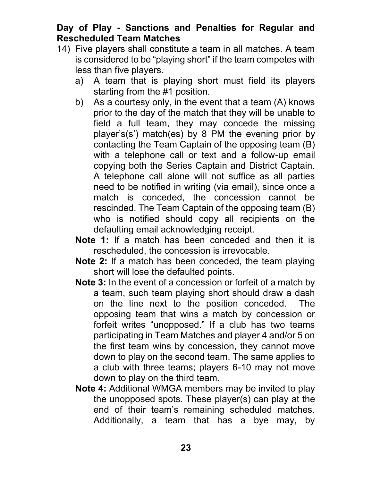#### **Day of Play - Sanctions and Penalties for Regular and Rescheduled Team Matches**

- 14) Five players shall constitute a team in all matches. A team is considered to be "playing short" if the team competes with less than five players.
	- a) A team that is playing short must field its players starting from the #1 position.
	- b) As a courtesy only, in the event that a team (A) knows prior to the day of the match that they will be unable to field a full team, they may concede the missing player's(s') match(es) by 8 PM the evening prior by contacting the Team Captain of the opposing team (B) with a telephone call or text and a follow-up email copying both the Series Captain and District Captain. A telephone call alone will not suffice as all parties need to be notified in writing (via email), since once a match is conceded, the concession cannot be rescinded. The Team Captain of the opposing team (B) who is notified should copy all recipients on the defaulting email acknowledging receipt.
	- **Note 1:** If a match has been conceded and then it is rescheduled, the concession is irrevocable.
	- **Note 2:** If a match has been conceded, the team playing short will lose the defaulted points.
	- **Note 3:** In the event of a concession or forfeit of a match by a team, such team playing short should draw a dash on the line next to the position conceded. The opposing team that wins a match by concession or forfeit writes "unopposed." If a club has two teams participating in Team Matches and player 4 and/or 5 on the first team wins by concession, they cannot move down to play on the second team. The same applies to a club with three teams; players 6-10 may not move down to play on the third team.
	- **Note 4:** Additional WMGA members may be invited to play the unopposed spots. These player(s) can play at the end of their team's remaining scheduled matches. Additionally, a team that has a bye may, by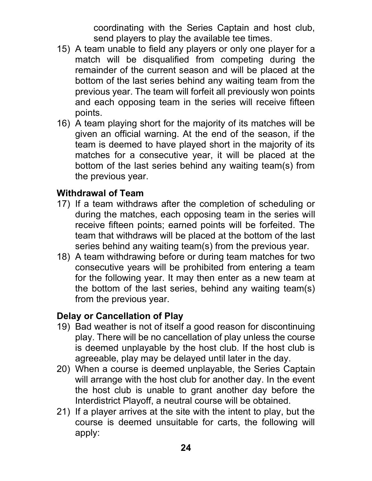coordinating with the Series Captain and host club, send players to play the available tee times.

- 15) A team unable to field any players or only one player for a match will be disqualified from competing during the remainder of the current season and will be placed at the bottom of the last series behind any waiting team from the previous year. The team will forfeit all previously won points and each opposing team in the series will receive fifteen points.
- 16) A team playing short for the majority of its matches will be given an official warning. At the end of the season, if the team is deemed to have played short in the majority of its matches for a consecutive year, it will be placed at the bottom of the last series behind any waiting team(s) from the previous year.

#### **Withdrawal of Team**

- 17) If a team withdraws after the completion of scheduling or during the matches, each opposing team in the series will receive fifteen points; earned points will be forfeited. The team that withdraws will be placed at the bottom of the last series behind any waiting team(s) from the previous year.
- 18) A team withdrawing before or during team matches for two consecutive years will be prohibited from entering a team for the following year. It may then enter as a new team at the bottom of the last series, behind any waiting team(s) from the previous year.

#### **Delay or Cancellation of Play**

- 19) Bad weather is not of itself a good reason for discontinuing play. There will be no cancellation of play unless the course is deemed unplayable by the host club. If the host club is agreeable, play may be delayed until later in the day.
- 20) When a course is deemed unplayable, the Series Captain will arrange with the host club for another day. In the event the host club is unable to grant another day before the Interdistrict Playoff, a neutral course will be obtained.
- 21) If a player arrives at the site with the intent to play, but the course is deemed unsuitable for carts, the following will apply: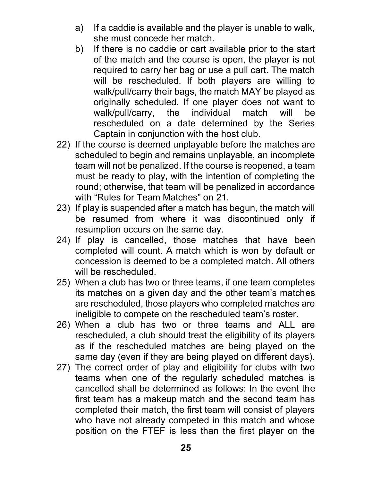- a) If a caddie is available and the player is unable to walk, she must concede her match.
- b) If there is no caddie or cart available prior to the start of the match and the course is open, the player is not required to carry her bag or use a pull cart. The match will be rescheduled. If both players are willing to walk/pull/carry their bags, the match MAY be played as originally scheduled. If one player does not want to walk/pull/carry, the individual match will be rescheduled on a date determined by the Series Captain in conjunction with the host club.
- 22) If the course is deemed unplayable before the matches are scheduled to begin and remains unplayable, an incomplete team will not be penalized. If the course is reopened, a team must be ready to play, with the intention of completing the round; otherwise, that team will be penalized in accordance with "Rules for Team Matches" on 21.
- 23) If play is suspended after a match has begun, the match will be resumed from where it was discontinued only if resumption occurs on the same day.
- 24) If play is cancelled, those matches that have been completed will count. A match which is won by default or concession is deemed to be a completed match. All others will be rescheduled.
- 25) When a club has two or three teams, if one team completes its matches on a given day and the other team's matches are rescheduled, those players who completed matches are ineligible to compete on the rescheduled team's roster.
- 26) When a club has two or three teams and ALL are rescheduled, a club should treat the eligibility of its players as if the rescheduled matches are being played on the same day (even if they are being played on different days).
- 27) The correct order of play and eligibility for clubs with two teams when one of the regularly scheduled matches is cancelled shall be determined as follows: In the event the first team has a makeup match and the second team has completed their match, the first team will consist of players who have not already competed in this match and whose position on the FTEF is less than the first player on the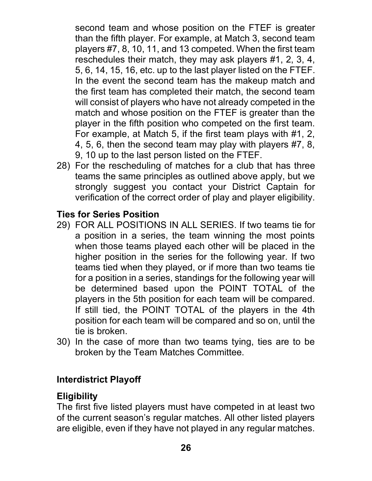second team and whose position on the FTEF is greater than the fifth player. For example, at Match 3, second team players #7, 8, 10, 11, and 13 competed. When the first team reschedules their match, they may ask players #1, 2, 3, 4, 5, 6, 14, 15, 16, etc. up to the last player listed on the FTEF. In the event the second team has the makeup match and the first team has completed their match, the second team will consist of players who have not already competed in the match and whose position on the FTEF is greater than the player in the fifth position who competed on the first team. For example, at Match 5, if the first team plays with #1, 2, 4, 5, 6, then the second team may play with players #7, 8, 9, 10 up to the last person listed on the FTEF.

28) For the rescheduling of matches for a club that has three teams the same principles as outlined above apply, but we strongly suggest you contact your District Captain for verification of the correct order of play and player eligibility.

### **Ties for Series Position**

- 29) FOR ALL POSITIONS IN ALL SERIES. If two teams tie for a position in a series, the team winning the most points when those teams played each other will be placed in the higher position in the series for the following year. If two teams tied when they played, or if more than two teams tie for a position in a series, standings for the following year will be determined based upon the POINT TOTAL of the players in the 5th position for each team will be compared. If still tied, the POINT TOTAL of the players in the 4th position for each team will be compared and so on, until the tie is broken.
- 30) In the case of more than two teams tying, ties are to be broken by the Team Matches Committee.

# **Interdistrict Playoff**

## **Eligibility**

The first five listed players must have competed in at least two of the current season's regular matches. All other listed players are eligible, even if they have not played in any regular matches.